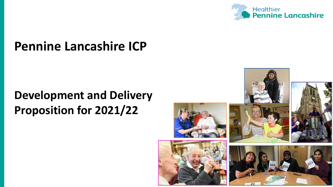

# **Pennine Lancashire ICP**

# **Development and Delivery Proposition for 2021/22**

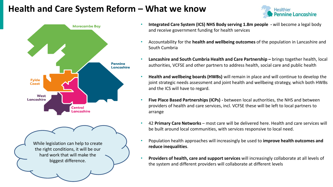## **Health and Care System Reform – What we know**





- **Integrated Care System (ICS) NHS Body serving 1.8m people -** will become a legal body and receive government funding for health services
- Accountability for the **health and wellbeing outcomes** of the population in Lancashire and South Cumbria
- **Lancashire and South Cumbria Health and Care Partnership –** brings together health, local authorities, VCFSE and other partners to address health, social care and public health
- **Health and wellbeing boards (HWBs)** will remain in place and will continue to develop the joint strategic needs assessment and joint health and wellbeing strategy, which both HWBs and the ICS will have to regard.
- **Five Place Based Partnerships (ICPs) -** between local authorities, the NHS and between providers of health and care services, incl. VCFSE these will be left to local partners to arrange
- 42 **Primary Care Networks** most care will be delivered here. Health and care services will be built around local communities, with services responsive to local need.
- Population health approaches will increasingly be used to **improve health outcomes and reduce inequalities**.
- **Providers of health, care and support services** will increasingly collaborate at all levels of the system and different providers will collaborate at different levels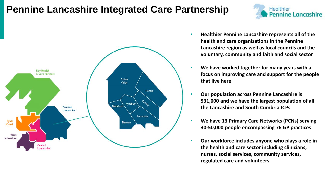## **Pennine Lancashire Integrated Care Partnership**



• **Healthier Pennine Lancashire represents all of the health and care organisations in the Pennine Lancashire region as well as local councils and the voluntary, community and faith and social sector**

Healthier

**Pennine Lancashire** 

- **We have worked together for many years with a focus on improving care and support for the people that live here**
- **Our population across Pennine Lancashire is 531,000 and we have the largest population of all the Lancashire and South Cumbria ICPs**
- **We have 13 Primary Care Networks (PCNs) serving 30-50,000 people encompassing 76 GP practices**
- **Our workforce includes anyone who plays a role in the health and care sector including clinicians, nurses, social services, community services, regulated care and volunteers.**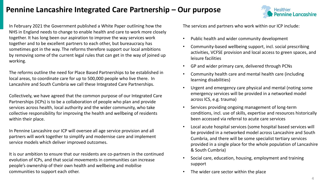### **Pennine Lancashire Integrated Care Partnership – Our purpose**



In February 2021 the Government published a White Paper outlining how the NHS in England needs to change to enable health and care to work more closely together. It has long been our aspiration to improve the way services work together and to be excellent partners to each other, but bureaucracy has sometimes got in the way. The reforms therefore support our local ambitions by removing some of the current legal rules that can get in the way of joined up working.

The reforms outline the need for Place Based Partnerships to be established in local areas, to coordinate care for up to 500,000 people who live there. In Lancashire and South Cumbria we call these Integrated Care Partnerships.

Collectively, we have agreed that the common purpose of our Integrated Care Partnerships (ICPs) is to be a collaboration of people who plan and provide services across health, local authority and the wider community, who take collective responsibility for improving the health and wellbeing of residents within their place.

In Pennine Lancashire our ICP will oversee all age service provision and all partners will work together to simplify and modernise care and implement service models which deliver improved outcomes.

It is our ambition to ensure that our residents are co-partners in the continued evolution of ICPs, and that social movements in communities can increase people's ownership of their own health and wellbeing and mobilise communities to support each other.

The services and partners who work within our ICP include:

- Public health and wider community development
- Community-based wellbeing support, incl. social prescribing activities, VCFSE provision and local access to green spaces, and leisure facilities
- GP and wider primary care, delivered through PCNs
- Community health care and mental health care (including learning disabilities)
- Urgent and emergency care physical and mental (noting some emergency services will be provided in a networked model across ICS, e.g. trauma)
- Services providing ongoing management of long-term conditions, incl. use of skills, expertise and resources historically been accessed via referral to acute care services
- Local acute hospital services (some hospital based services will be provided in a networked model across Lancashire and South Cumbria, and there will be some specialist tertiary services provided in a single place for the whole population of Lancashire & South Cumbria)
- Social care, education, housing, employment and training support
- The wider care sector within the place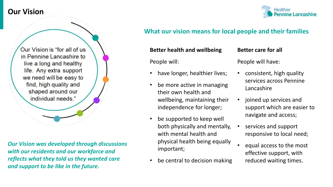

### **What our vision means for local people and their families**

Our Vision is "for all of us in Pennine Lancashire to live a long and healthy life. Any extra support we need will be easy to find, high quality and shaped around our individual needs."

*Our Vision was developed through discussions with our residents and our workforce and reflects what they told us they wanted care and support to be like in the future.*

#### **Better health and wellbeing**

People will:

- have longer, healthier lives;
- be more active in managing their own health and wellbeing, maintaining their independence for longer;
- be supported to keep well both physically and mentally, with mental health and physical health being equally important;
- be central to decision making

### **Better care for all**

People will have:

- consistent, high quality services across Pennine Lancashire
- joined up services and support which are easier to navigate and access;
- services and support responsive to local need;
- equal access to the most effective support, with reduced waiting times.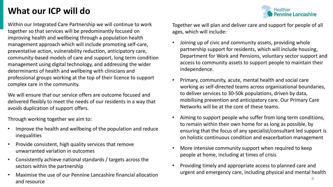## **What our ICP will do**

Within our Integrated Care Partnership we will continue to work together so that services will be predominantly focused on improving health and wellbeing through a population health management approach which will include promoting self-care, preventative action, vulnerability reduction, anticipatory care, community-based models of care and support, long term condition management using digital technology, and addressing the wider determinants of health and wellbeing with clinicians and professional groups working at the top of their licence to support complex care in the community.

We will ensure that our service offers are outcome focused and delivered flexibly to meet the needs of our residents in a way that avoids duplication of support offers.

Through working together we aim to:

- Improve the health and wellbeing of the population and reduce inequalities
- Provide consistent, high quality services that remove unwarranted variation in outcomes
- Consistently achieve national standards / targets across the sectors within the partnership
- Maximise the use of our Pennine Lancashire financial allocation and resource

Together we will plan and deliver care and support for people of all ages, which will include:

Healthier

**Pennine Lancashire** 

- Joining up of civic and community assets, providing whole partnership support for residents, which will include housing, Department for Work and Pensions, voluntary sector support and access to community assets to support people to maintain their independence.
- Primary, community, acute, mental health and social care working as self-directed teams across organisational boundaries, to deliver services to 30-50k populations, driven by data, mobilising prevention and anticipatory care. Our Primary Care Networks will be at the core of these teams.
- Aiming to support people who suffer from long term conditions, to remain within their own home for as long as possible, by ensuring that the focus of any specialist/consultant led support is on holistic continuous condition and exacerbation management
- More intensive community support when required to keep people at home, including at times of crisis
- Providing timely and appropriate access to planned care and urgent and emergency care, including physical and mental health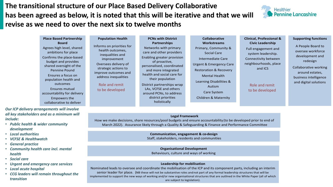**The transitional structure of our Place Based Delivery Collaborative has been agreed as below, it is noted that this will be iterative and that we will revise as we need to over the next six to twelve months** 



| <b>Place Based Partnership</b><br><b>Board</b><br>Agrees high level, shared<br>ambitions for place<br>Confirms the place-based<br>budget and provides<br>shared oversight of the<br>Pennine Pound<br>Ensures a focus on | <b>Population Health</b><br>Informs on priorities for<br>health outcomes,<br>inequalities and<br>improvement<br>Oversees delivery of<br>strategic actions to<br>improve outcomes and | <b>PCNs with District</b><br><b>Partnerships</b><br>Networks with primary<br>care and other providers<br>Enabling greater provision<br>of proactive,<br>personalised, coordinated<br>and more integrated<br>health and social care for | <b>Collaborative</b><br><b>Workstreams</b><br>Primary, Community &<br><b>Social Care</b><br>Intermediate Care<br><b>Urgent &amp; Emergency Care</b><br><b>Restoration &amp; Recovery</b><br><b>Mental Health</b> | <b>Clinical, Professional &amp;</b><br><b>Civic Leadership</b><br>Full engagement and<br>system leadership.<br>Connectivity between<br>neighbourhoods, place<br>and ICS | <b>Supporting functions</b><br>A People Board to<br>oversee workforce<br>development and<br>redesign<br>Collaborative working<br>around estates, |
|-------------------------------------------------------------------------------------------------------------------------------------------------------------------------------------------------------------------------|--------------------------------------------------------------------------------------------------------------------------------------------------------------------------------------|----------------------------------------------------------------------------------------------------------------------------------------------------------------------------------------------------------------------------------------|------------------------------------------------------------------------------------------------------------------------------------------------------------------------------------------------------------------|-------------------------------------------------------------------------------------------------------------------------------------------------------------------------|--------------------------------------------------------------------------------------------------------------------------------------------------|
| population health and<br>outcomes<br>Ensures mutual<br>accountability for delivery<br>Empowers the<br>collaborative to deliver                                                                                          | address inequalities<br>Role and remit<br>to be developed                                                                                                                            | their population<br>District partnerships wrap<br>LAs, VCFSE and others<br>around PCNs, to address<br>district priorities<br>holistically                                                                                              | Learning Disabilities &<br>Autism<br>Care System<br>Children & Maternity                                                                                                                                         | Role and remit<br>to be developed                                                                                                                                       | business intelligence<br>and digital solutions                                                                                                   |

#### *Our ICP delivery arrangements will involve all key stakeholders and as a minimum will include:*

- *Public health & wider community development*
- *Local authorities*
- *VCFSE & Healthwatch*
- *General practice*
- *Community health care incl. mental health*
- *Social care*
- *Urgent and emergency care services*
- *Local acute hospital*
- *CCG leaders will remain throughout the transition*

#### **Legal Framework**

How we make decisions, share resources/pool budgets and ensure accountability(to be developed prior to end of March 2022). Assurance likely through a Quality & Safeguarding & Finance and Performance Committee

#### **Communication, engagement & co-design**

Staff, stakeholders, residents and communities

**Organisational Development** Behaviours, culture and ways of working

#### **Leadership for mobilisation**

Nominated leads to oversee and coordinate the mobilisation of the ICP and its component parts, including an interim senior leader for place. (NB these will not be substantive roles and not part of any formal leadership structures that will be implemented to support the new ways of working and/or new organisational structures that are outlined in the White Paper (all of which are subject to legislation).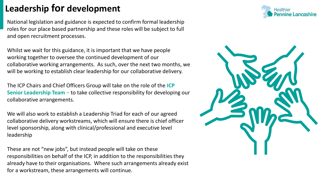## **Leadership for development**

National legislation and guidance is expected to confirm formal leadership roles for our place based partnership and these roles will be subject to full and open recruitment processes.

Whilst we wait for this guidance, it is important that we have people working together to oversee the continued development of our collaborative working arrangements. As such, over the next two months, we will be working to establish clear leadership for our collaborative delivery.

The ICP Chairs and Chief Officers Group will take on the role of the **ICP Senior Leadership Team** – to take collective responsibility for developing our collaborative arrangements.

We will also work to establish a Leadership Triad for each of our agreed collaborative delivery workstreams, which will ensure there is chief officer level sponsorship, along with clinical/professional and executive level leadership

These are not "new jobs", but instead people will take on these responsibilities on behalf of the ICP, in addition to the responsibilities they already have to their organisations. Where such arrangements already exist for a workstream, these arrangements will continue.



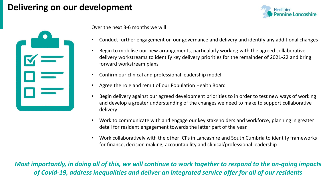## **Delivering on our development**





Over the next 3-6 months we will:

- Conduct further engagement on our governance and delivery and identify any additional changes
- Begin to mobilise our new arrangements, particularly working with the agreed collaborative delivery workstreams to identify key delivery priorities for the remainder of 2021-22 and bring forward workstream plans
- Confirm our clinical and professional leadership model
- Agree the role and remit of our Population Health Board
- Begin delivery against our agreed development priorities to in order to test new ways of working and develop a greater understanding of the changes we need to make to support collaborative delivery
- Work to communicate with and engage our key stakeholders and workforce, planning in greater detail for resident engagement towards the latter part of the year.
- Work collaboratively with the other ICPs in Lancashire and South Cumbria to identify frameworks for finance, decision making, accountability and clinical/professional leadership

*Most importantly, in doing all of this, we will continue to work together to respond to the on-going impacts of Covid-19, address inequalities and deliver an integrated service offer for all of our residents*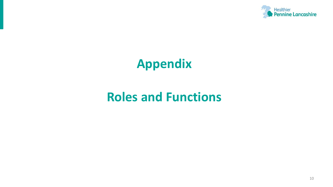

# **Appendix**

# **Roles and Functions**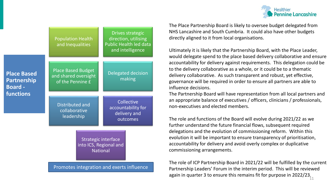

|                                                            | <b>Population Health</b><br>and Inequalities                          | Drives strategic<br>direction, utilising<br><b>Public Health led data</b><br>and intelligence |  |  |
|------------------------------------------------------------|-----------------------------------------------------------------------|-----------------------------------------------------------------------------------------------|--|--|
| <b>Place Based</b><br><b>Partnership</b><br><b>Board -</b> | <b>Place Based Budget</b><br>and shared oversight<br>of the Pennine £ | <b>Delegated decision</b><br>making                                                           |  |  |
| functions                                                  | <b>Distributed and</b><br>collaborative<br>leadership                 | Collective<br>accountability for<br>delivery and<br>outcomes                                  |  |  |
|                                                            | Strategic interface<br>into ICS, Regional and<br><b>National</b>      |                                                                                               |  |  |
|                                                            |                                                                       | Promotes integration and exerts influence                                                     |  |  |

The Place Partnership Board is likely to oversee budget delegated from NHS Lancashire and South Cumbria. It could also have other budgets directly aligned to it from local organisations.

Ultimately it is likely that the Partnership Board, with the Place Leader, would delegate spend to the place based delivery collaborative and ensure accountability for delivery against requirements. This delegation could be to the delivery collaborative as a whole, or it could be to a thematic delivery collaborative. As such transparent and robust, yet effective, governance will be required in order to ensure all partners are able to influence decisions.

The Partnership Board will have representation from all local partners and an appropriate balance of executives / officers, clinicians / professionals, non-executives and elected members.

The role and functions of the Board will evolve during 2021/22 as we further understand the future financial flows, subsequent required delegations and the evolution of commissioning reform. Within this evolution it will be important to ensure transparency of prioritisation, accountability for delivery and avoid overly complex or duplicative commissioning arrangements.

11 The role of ICP Partnership Board in 2021/22 will be fulfilled by the current Partnership Leaders' Forum in the interim period. This will be reviewed again in quarter 3 to ensure this remains fit for purpose in 2022/23.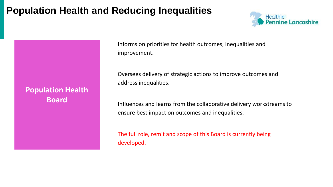## **Population Health and Reducing Inequalities**

**Population Health** 

**Board**



Informs on priorities for health outcomes, inequalities and improvement.

Oversees delivery of strategic actions to improve outcomes and address inequalities.

Influences and learns from the collaborative delivery workstreams to ensure best impact on outcomes and inequalities.

The full role, remit and scope of this Board is currently being developed.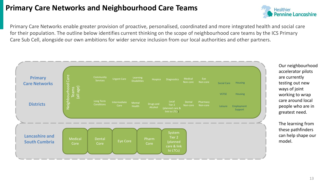### **Primary Care Networks and Neighbourhood Care Teams**



Primary Care Networks enable greater provision of proactive, personalised, coordinated and more integrated health and social care for their population. The outline below identifies current thinking on the scope of neighbourhood care teams by the ICS Primary Care Sub Cell, alongside our own ambitions for wider service inclusion from our local authorities and other partners.



Our neighbourhood accelerator pilots are currently testing out new ways of joint working to wrap care around local people who are in greatest need.

The learning from these pathfinders can help shape our model.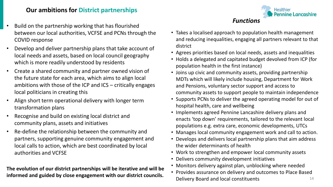### **Our ambitions for District partnerships**

- Build on the partnership working that has flourished between our local authorities, VCFSE and PCNs through the COVID response
- Develop and deliver partnership plans that take account of local needs and assets, based on local council geography which is more readily understood by residents
- Create a shared community and partner owned vision of the future state for each area, which aims to align local ambitions with those of the ICP and ICS – critically engages local politicians in creating this
- Align short term operational delivery with longer term transformation plans
- Recognise and build on existing local district and community plans, assets and initiatives
- Re-define the relationship between the community and partners, supporting genuine community engagement and local calls to action, which are best coordinated by local authorities and VCFSE

**The evolution of our district partnerships will be iterative and will be informed and guided by close engagement with our district councils.** 1100000 assurance on denvery and baccomes to hace based



*Functions*

**Healthier** 

**Pennine Lancashire** 

- Agrees priorities based on local needs, assets and inequalities
- Holds a delegated and capitated budget devolved from ICP (for population health in the first instance)
- Joins up civic and community assets, providing partnership MDTs which will likely include housing, Department for Work and Pensions, voluntary sector support and access to community assets to support people to maintain independence
- Supports PCNs to deliver the agreed operating model for out of hospital health, care and wellbeing
- Implements agreed Pennine Lancashire delivery plans and enacts 'top down' requirements, tailored to the relevant local populations e.g. extra care, economic developments, UTCs
- Manages local community engagement work and call to action.
- Develops and delivers local partnership plans that aim address the wider determinants of health
- Work to strengthen and empower local community assets
- Delivers community development initiatives
- Monitors delivery against plan, unblocking where needed
- Provides assurance on delivery and outcomes to Place Based Delivery Board and local constituents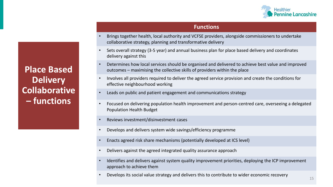

#### **Functions**

- Brings together health, local authority and VCFSE providers, alongside commissioners to undertake collaborative strategy, planning and transformative delivery
- Sets overall strategy (3-5 year) and annual business plan for place based delivery and coordinates delivery against this
- Determines how local services should be organised and delivered to achieve best value and improved outcomes – maximising the collective skills of providers within the place
- Involves all providers required to deliver the agreed service provision and create the conditions for effective neighbourhood working
- Leads on public and patient engagement and communications strategy
- Focused on delivering population health improvement and person-centred care, overseeing a delegated Population Health Budget
- Reviews investment/disinvestment cases
- Develops and delivers system wide savings/efficiency programme
- Enacts agreed risk share mechanisms (potentially developed at ICS level)
- Delivers against the agreed integrated quality assurance approach
- Identifies and delivers against system quality improvement priorities, deploying the ICP improvement approach to achieve them
- Develops its social value strategy and delivers this to contribute to wider economic recovery

**Place Based Delivery Collaborative – functions**